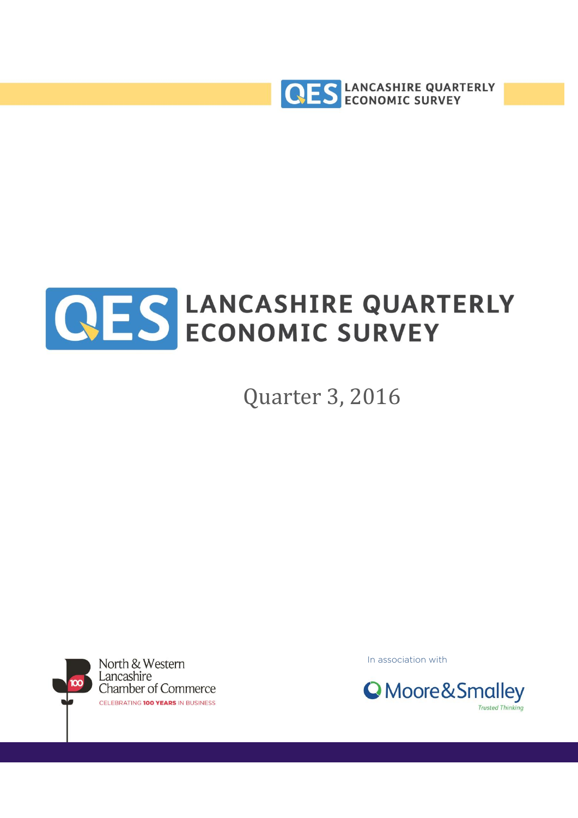



Quarter 3, 2016



In association with

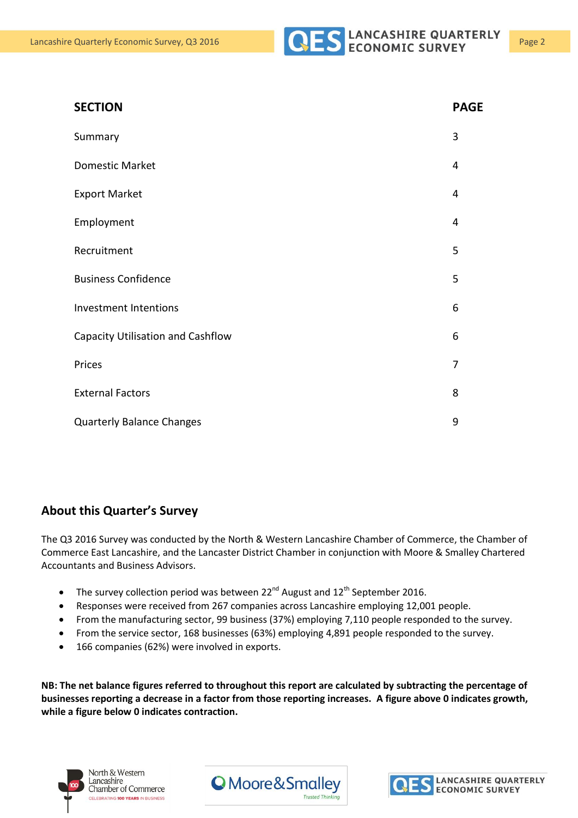

| <b>SECTION</b>                    | <b>PAGE</b> |
|-----------------------------------|-------------|
| Summary                           | 3           |
| <b>Domestic Market</b>            | 4           |
| <b>Export Market</b>              | 4           |
| Employment                        | 4           |
| Recruitment                       | 5           |
| <b>Business Confidence</b>        | 5           |
| Investment Intentions             | 6           |
| Capacity Utilisation and Cashflow | 6           |
| Prices                            | 7           |
| <b>External Factors</b>           | 8           |
| <b>Quarterly Balance Changes</b>  | 9           |

#### **About this Quarter's Survey**

The Q3 2016 Survey was conducted by the North & Western Lancashire Chamber of Commerce, the Chamber of Commerce East Lancashire, and the Lancaster District Chamber in conjunction with Moore & Smalley Chartered Accountants and Business Advisors.

- The survey collection period was between  $22^{nd}$  August and  $12^{th}$  September 2016.
- Responses were received from 267 companies across Lancashire employing 12,001 people.
- From the manufacturing sector, 99 business (37%) employing 7,110 people responded to the survey.
- From the service sector, 168 businesses (63%) employing 4,891 people responded to the survey.
- 166 companies (62%) were involved in exports.

**NB: The net balance figures referred to throughout this report are calculated by subtracting the percentage of businesses reporting a decrease in a factor from those reporting increases. A figure above 0 indicates growth, while a figure below 0 indicates contraction.**





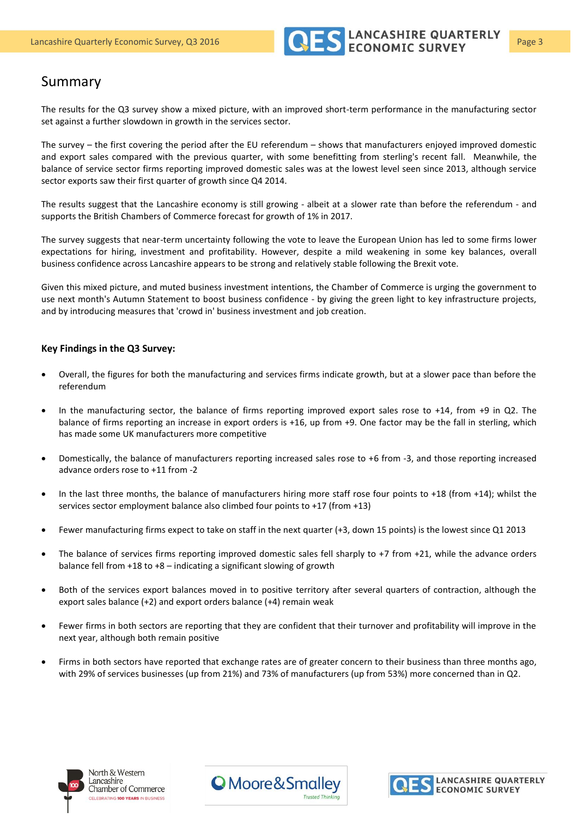

#### Summary

The results for the Q3 survey show a mixed picture, with an improved short-term performance in the manufacturing sector set against a further slowdown in growth in the services sector.

The survey – the first covering the period after the EU referendum – shows that manufacturers enjoyed improved domestic and export sales compared with the previous quarter, with some benefitting from sterling's recent fall. Meanwhile, the balance of service sector firms reporting improved domestic sales was at the lowest level seen since 2013, although service sector exports saw their first quarter of growth since Q4 2014.

The results suggest that the Lancashire economy is still growing - albeit at a slower rate than before the referendum - and supports the British Chambers of Commerce forecast for growth of 1% in 2017.

The survey suggests that near-term uncertainty following the vote to leave the European Union has led to some firms lower expectations for hiring, investment and profitability. However, despite a mild weakening in some key balances, overall business confidence across Lancashire appears to be strong and relatively stable following the Brexit vote.

Given this mixed picture, and muted business investment intentions, the Chamber of Commerce is urging the government to use next month's Autumn Statement to boost business confidence - by giving the green light to key infrastructure projects, and by introducing measures that 'crowd in' business investment and job creation.

#### **Key Findings in the Q3 Survey:**

- Overall, the figures for both the manufacturing and services firms indicate growth, but at a slower pace than before the referendum
- In the manufacturing sector, the balance of firms reporting improved export sales rose to +14, from +9 in Q2. The balance of firms reporting an increase in export orders is +16, up from +9. One factor may be the fall in sterling, which has made some UK manufacturers more competitive
- Domestically, the balance of manufacturers reporting increased sales rose to +6 from -3, and those reporting increased advance orders rose to +11 from -2
- In the last three months, the balance of manufacturers hiring more staff rose four points to +18 (from +14); whilst the services sector employment balance also climbed four points to +17 (from +13)
- Fewer manufacturing firms expect to take on staff in the next quarter (+3, down 15 points) is the lowest since Q1 2013
- The balance of services firms reporting improved domestic sales fell sharply to  $+7$  from  $+21$ , while the advance orders balance fell from +18 to +8 – indicating a significant slowing of growth
- Both of the services export balances moved in to positive territory after several quarters of contraction, although the export sales balance (+2) and export orders balance (+4) remain weak
- Fewer firms in both sectors are reporting that they are confident that their turnover and profitability will improve in the next year, although both remain positive
- Firms in both sectors have reported that exchange rates are of greater concern to their business than three months ago, with 29% of services businesses (up from 21%) and 73% of manufacturers (up from 53%) more concerned than in Q2.





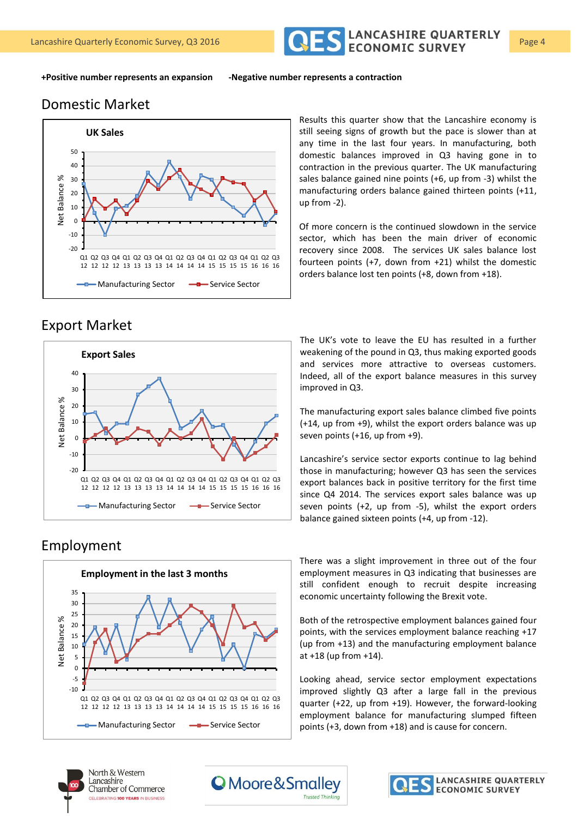

# Domestic Market



**+Positive number represents an expansion -Negative number represents a contraction**

Export Market



### Employment



Results this quarter show that the Lancashire economy is still seeing signs of growth but the pace is slower than at any time in the last four years. In manufacturing, both domestic balances improved in Q3 having gone in to contraction in the previous quarter. The UK manufacturing sales balance gained nine points (+6, up from -3) whilst the manufacturing orders balance gained thirteen points (+11, up from -2).

Of more concern is the continued slowdown in the service sector, which has been the main driver of economic recovery since 2008. The services UK sales balance lost fourteen points (+7, down from +21) whilst the domestic orders balance lost ten points (+8, down from +18).

The UK's vote to leave the EU has resulted in a further weakening of the pound in Q3, thus making exported goods and services more attractive to overseas customers. Indeed, all of the export balance measures in this survey improved in Q3.

The manufacturing export sales balance climbed five points (+14, up from +9), whilst the export orders balance was up seven points (+16, up from +9).

Lancashire's service sector exports continue to lag behind those in manufacturing; however Q3 has seen the services export balances back in positive territory for the first time since Q4 2014. The services export sales balance was up seven points (+2, up from -5), whilst the export orders balance gained sixteen points (+4, up from -12).

There was a slight improvement in three out of the four employment measures in Q3 indicating that businesses are still confident enough to recruit despite increasing economic uncertainty following the Brexit vote.

Both of the retrospective employment balances gained four points, with the services employment balance reaching +17 (up from +13) and the manufacturing employment balance at  $+18$  (up from  $+14$ ).

Looking ahead, service sector employment expectations improved slightly Q3 after a large fall in the previous quarter (+22, up from +19). However, the forward-looking employment balance for manufacturing slumped fifteen points (+3, down from +18) and is cause for concern.





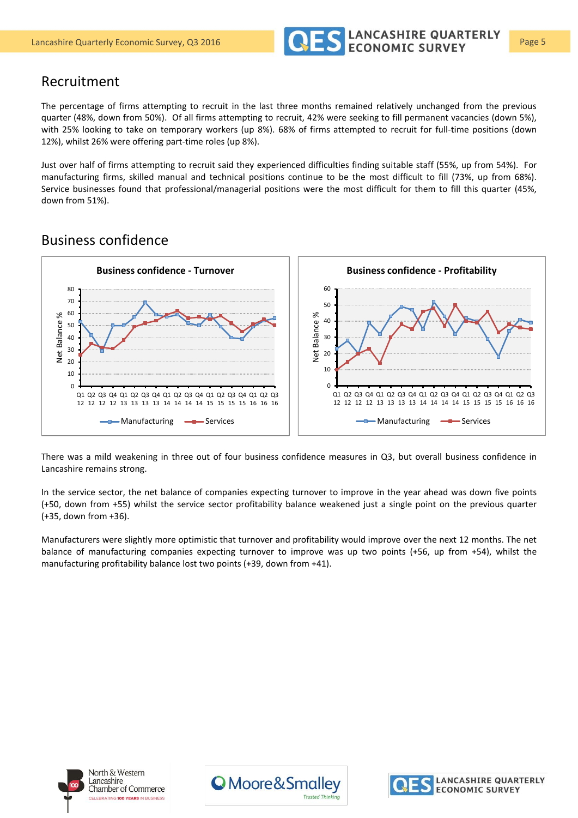

#### Recruitment

The percentage of firms attempting to recruit in the last three months remained relatively unchanged from the previous quarter (48%, down from 50%). Of all firms attempting to recruit, 42% were seeking to fill permanent vacancies (down 5%), with 25% looking to take on temporary workers (up 8%). 68% of firms attempted to recruit for full-time positions (down 12%), whilst 26% were offering part-time roles (up 8%).

Just over half of firms attempting to recruit said they experienced difficulties finding suitable staff (55%, up from 54%). For manufacturing firms, skilled manual and technical positions continue to be the most difficult to fill (73%, up from 68%). Service businesses found that professional/managerial positions were the most difficult for them to fill this quarter (45%, down from 51%).

#### Business confidence



There was a mild weakening in three out of four business confidence measures in Q3, but overall business confidence in Lancashire remains strong.

In the service sector, the net balance of companies expecting turnover to improve in the year ahead was down five points (+50, down from +55) whilst the service sector profitability balance weakened just a single point on the previous quarter (+35, down from +36).

Manufacturers were slightly more optimistic that turnover and profitability would improve over the next 12 months. The net balance of manufacturing companies expecting turnover to improve was up two points (+56, up from +54), whilst the manufacturing profitability balance lost two points (+39, down from +41).





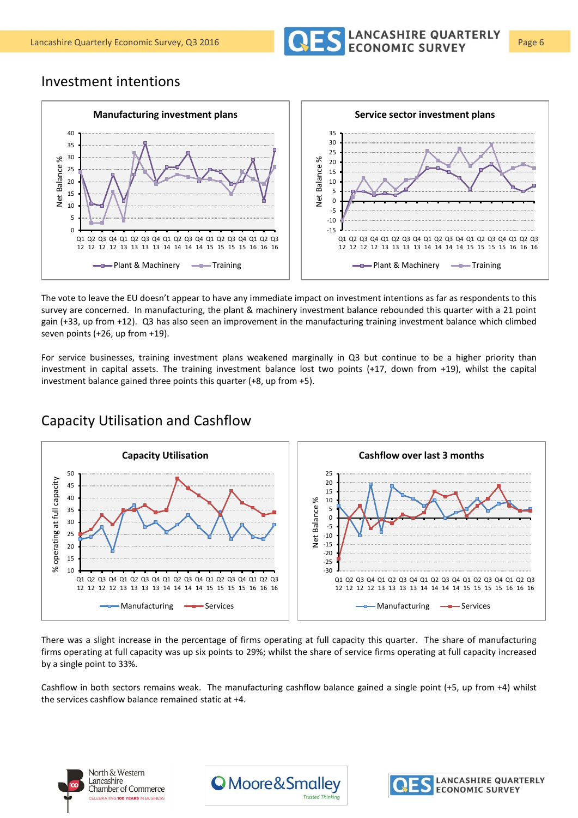

#### Investment intentions



The vote to leave the EU doesn't appear to have any immediate impact on investment intentions as far as respondents to this survey are concerned. In manufacturing, the plant & machinery investment balance rebounded this quarter with a 21 point gain (+33, up from +12). Q3 has also seen an improvement in the manufacturing training investment balance which climbed seven points (+26, up from +19).

For service businesses, training investment plans weakened marginally in Q3 but continue to be a higher priority than investment in capital assets. The training investment balance lost two points (+17, down from +19), whilst the capital investment balance gained three points this quarter (+8, up from +5).



# Capacity Utilisation and Cashflow

There was a slight increase in the percentage of firms operating at full capacity this quarter. The share of manufacturing firms operating at full capacity was up six points to 29%; whilst the share of service firms operating at full capacity increased by a single point to 33%.

Cashflow in both sectors remains weak. The manufacturing cashflow balance gained a single point (+5, up from +4) whilst the services cashflow balance remained static at +4.





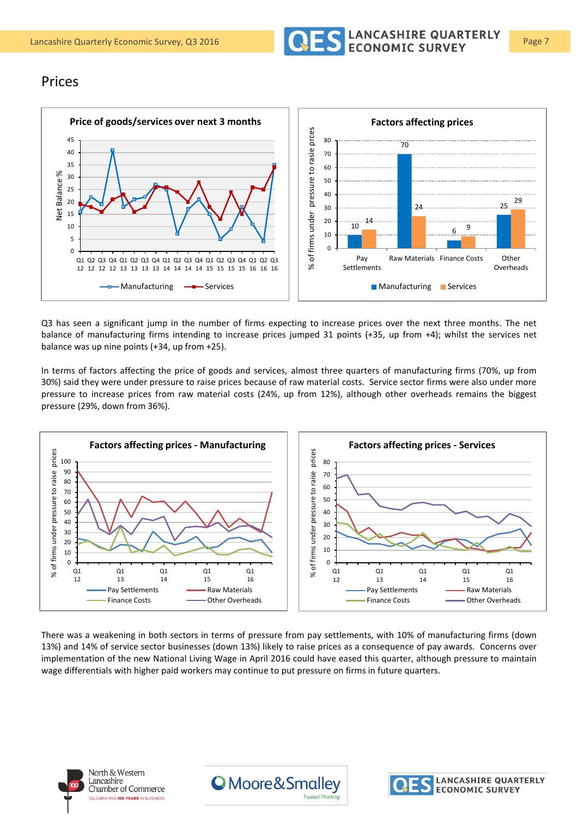

#### Prices



Q3 has seen a significant jump in the number of firms expecting to increase prices over the next three months. The net balance of manufacturing firms intending to increase prices jumped 31 points (+35, up from +4); whilst the services net balance was up nine points (+34, up from +25).

In terms of factors affecting the price of goods and services, almost three quarters of manufacturing firms (70%, up from 30%) said they were under pressure to raise prices because of raw material costs. Service sector firms were also under more pressure to increase prices from raw material costs (24%, up from 12%), although other overheads remains the biggest pressure (29%, down from 36%).



There was a weakening in both sectors in terms of pressure from pay settlements, with 10% of manufacturing firms (down 13%) and 14% of service sector businesses (down 13%) likely to raise prices as a consequence of pay awards. Concerns over implementation of the new National Living Wage in April 2016 could have eased this quarter, although pressure to maintain wage differentials with higher paid workers may continue to put pressure on firms in future quarters.





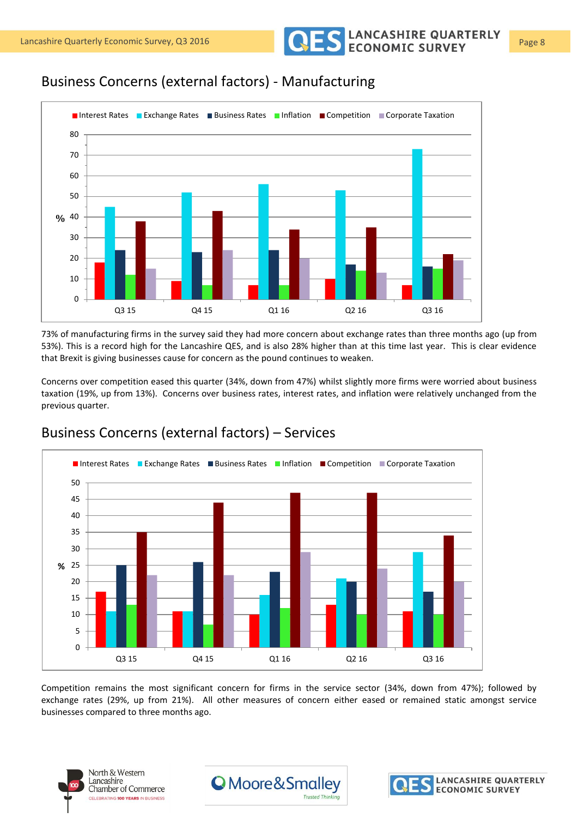Lancashire Quarterly Economic Survey, Q3 2016 **Page 8** CONOMIC SURVEY Page 8

# Business Concerns (external factors) - Manufacturing



73% of manufacturing firms in the survey said they had more concern about exchange rates than three months ago (up from 53%). This is a record high for the Lancashire QES, and is also 28% higher than at this time last year. This is clear evidence that Brexit is giving businesses cause for concern as the pound continues to weaken.

Concerns over competition eased this quarter (34%, down from 47%) whilst slightly more firms were worried about business taxation (19%, up from 13%). Concerns over business rates, interest rates, and inflation were relatively unchanged from the previous quarter.



# Business Concerns (external factors) – Services

Competition remains the most significant concern for firms in the service sector (34%, down from 47%); followed by exchange rates (29%, up from 21%). All other measures of concern either eased or remained static amongst service businesses compared to three months ago.





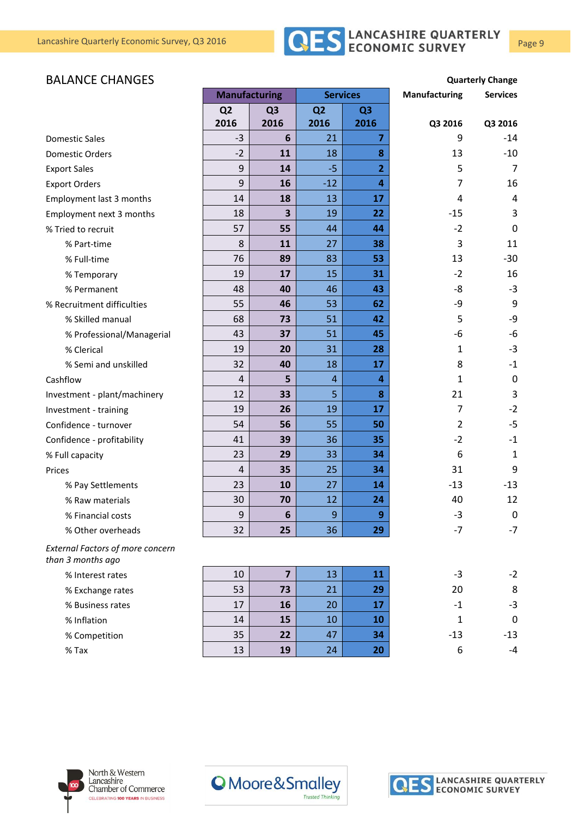

#### **BALANCE CHANGES Quarterly Change**

|                                                              | <b>Manufacturing</b> |                | <b>Services</b> |                         | <b>Manufacturing</b> | <b>Services</b>  |
|--------------------------------------------------------------|----------------------|----------------|-----------------|-------------------------|----------------------|------------------|
|                                                              | Q <sub>2</sub>       | Q <sub>3</sub> | Q <sub>2</sub>  | Q <sub>3</sub>          |                      |                  |
|                                                              | 2016                 | 2016           | 2016            | 2016                    | Q3 2016              | Q3 2016          |
| <b>Domestic Sales</b>                                        | $-3$                 | 6              | 21              | $\overline{7}$          | 9                    | $-14$            |
| <b>Domestic Orders</b>                                       | $-2$                 | 11             | 18              | 8                       | 13                   | $-10$            |
| <b>Export Sales</b>                                          | 9                    | 14             | $-5$            | $\overline{2}$          | 5                    | 7                |
| <b>Export Orders</b>                                         | $9\,$                | 16             | $-12$           | $\overline{\mathbf{4}}$ | $\overline{7}$       | 16               |
| Employment last 3 months                                     | 14                   | 18             | 13              | 17                      | 4                    | 4                |
| Employment next 3 months                                     | 18                   | 3              | 19              | 22                      | $-15$                | 3                |
| % Tried to recruit                                           | 57                   | 55             | 44              | 44                      | $-2$                 | $\mathbf 0$      |
| % Part-time                                                  | 8                    | 11             | 27              | 38                      | 3                    | 11               |
| % Full-time                                                  | 76                   | 89             | 83              | 53                      | 13                   | $-30$            |
| % Temporary                                                  | 19                   | 17             | 15              | 31                      | $-2$                 | 16               |
| % Permanent                                                  | 48                   | 40             | 46              | 43                      | -8                   | $-3$             |
| % Recruitment difficulties                                   | 55                   | 46             | 53              | 62                      | -9                   | 9                |
| % Skilled manual                                             | 68                   | 73             | 51              | 42                      | 5                    | -9               |
| % Professional/Managerial                                    | 43                   | 37             | 51              | 45                      | -6                   | -6               |
| % Clerical                                                   | 19                   | 20             | 31              | 28                      | 1                    | $-3$             |
| % Semi and unskilled                                         | 32                   | 40             | 18              | 17                      | 8                    | $-1$             |
| Cashflow                                                     | $\sqrt{4}$           | 5              | $\overline{4}$  | $\overline{a}$          | 1                    | $\mathbf 0$      |
| Investment - plant/machinery                                 | 12                   | 33             | 5               | 8                       | 21                   | 3                |
| Investment - training                                        | 19                   | 26             | 19              | 17                      | 7                    | $-2$             |
| Confidence - turnover                                        | 54                   | 56             | 55              | 50                      | $\overline{2}$       | $-5$             |
| Confidence - profitability                                   | 41                   | 39             | 36              | 35                      | $-2$                 | $-1$             |
| % Full capacity                                              | 23                   | 29             | 33              | 34                      | 6                    | 1                |
| Prices                                                       | $\overline{4}$       | 35             | 25              | 34                      | 31                   | 9                |
| % Pay Settlements                                            | 23                   | 10             | 27              | 14                      | $-13$                | $-13$            |
| % Raw materials                                              | 30                   | 70             | 12              | 24                      | 40                   | 12               |
| % Financial costs                                            | 9                    | 6              | 9               | 9                       | $-3$                 | $\boldsymbol{0}$ |
| % Other overheads                                            | 32                   | 25             | 36              | 29                      | $-7$                 | $-7$             |
| <b>External Factors of more concern</b><br>than 3 months ago |                      |                |                 |                         |                      |                  |
| % Interest rates                                             | 10                   | $\overline{7}$ | 13              | 11                      | $-3$                 | $-2$             |
| % Exchange rates                                             | 53                   | 73             | 21              | 29                      | 20                   | 8                |
| % Business rates                                             | 17                   | 16             | 20              | 17                      | $\textbf{-1}$        | $-3$             |
| % Inflation                                                  | 14                   | 15             | 10              | 10                      | $\mathbf{1}$         | $\boldsymbol{0}$ |
| % Competition                                                | 35                   | 22             | 47              | 34                      | $-13$                | $-13$            |
| $%$ Tax                                                      | 13                   | 19             | 24              | 20                      | 6                    | -4               |







LANCASHIRE QUARTERLY